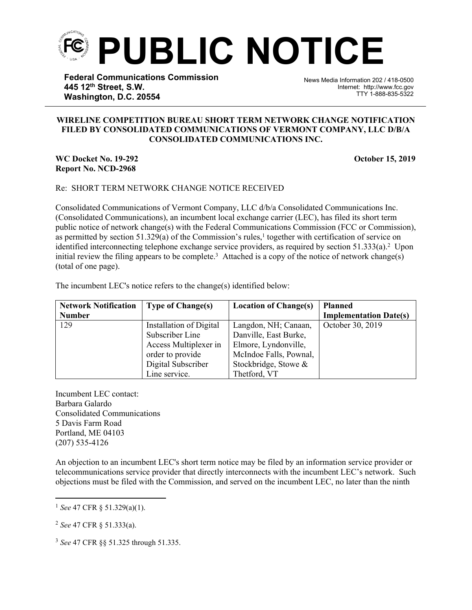

**Federal Communications Commission 445 12th Street, S.W. Washington, D.C. 20554**

News Media Information 202 / 418-0500 Internet: http://www.fcc.gov TTY 1-888-835-5322

## **WIRELINE COMPETITION BUREAU SHORT TERM NETWORK CHANGE NOTIFICATION FILED BY CONSOLIDATED COMMUNICATIONS OF VERMONT COMPANY, LLC D/B/A CONSOLIDATED COMMUNICATIONS INC.**

֡֡֡֡

## **WC Docket No. 19-292 October 15, 2019 Report No. NCD-2968**

## Re: SHORT TERM NETWORK CHANGE NOTICE RECEIVED

Consolidated Communications of Vermont Company, LLC d/b/a Consolidated Communications Inc. (Consolidated Communications), an incumbent local exchange carrier (LEC), has filed its short term public notice of network change(s) with the Federal Communications Commission (FCC or Commission), as permitted by section  $51.329(a)$  of the Commission's rules,<sup>1</sup> together with certification of service on identified interconnecting telephone exchange service providers, as required by section 51.333(a).<sup>2</sup> Upon initial review the filing appears to be complete.<sup>3</sup> Attached is a copy of the notice of network change(s) (total of one page).

The incumbent LEC's notice refers to the change(s) identified below:

| <b>Network Notification</b> | <b>Type of Change(s)</b> | <b>Location of Change(s)</b> | <b>Planned</b>                |
|-----------------------------|--------------------------|------------------------------|-------------------------------|
| <b>Number</b>               |                          |                              | <b>Implementation Date(s)</b> |
| 129                         | Installation of Digital  | Langdon, NH; Canaan,         | October 30, 2019              |
|                             | Subscriber Line          | Danville, East Burke,        |                               |
|                             | Access Multiplexer in    | Elmore, Lyndonville,         |                               |
|                             | order to provide         | McIndoe Falls, Pownal,       |                               |
|                             | Digital Subscriber       | Stockbridge, Stowe &         |                               |
|                             | Line service.            | Thetford, VT                 |                               |

Incumbent LEC contact: Barbara Galardo Consolidated Communications 5 Davis Farm Road Portland, ME 04103 (207) 535-4126

An objection to an incumbent LEC's short term notice may be filed by an information service provider or telecommunications service provider that directly interconnects with the incumbent LEC's network. Such objections must be filed with the Commission, and served on the incumbent LEC, no later than the ninth

<sup>3</sup> *See* 47 CFR §§ 51.325 through 51.335.

<sup>1</sup> *See* 47 CFR § 51.329(a)(1).

<sup>2</sup> *See* 47 CFR § 51.333(a).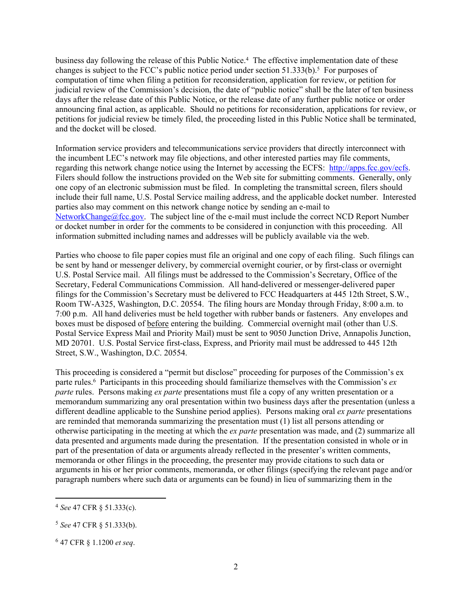business day following the release of this Public Notice.<sup>4</sup> The effective implementation date of these changes is subject to the FCC's public notice period under section  $51.333(b)$ .<sup>5</sup> For purposes of computation of time when filing a petition for reconsideration, application for review, or petition for judicial review of the Commission's decision, the date of "public notice" shall be the later of ten business days after the release date of this Public Notice, or the release date of any further public notice or order announcing final action, as applicable. Should no petitions for reconsideration, applications for review, or petitions for judicial review be timely filed, the proceeding listed in this Public Notice shall be terminated, and the docket will be closed.

Information service providers and telecommunications service providers that directly interconnect with the incumbent LEC's network may file objections, and other interested parties may file comments, regarding this network change notice using the Internet by accessing the ECFS: [http://apps.fcc.gov/ecfs.](http://apps.fcc.gov/ecfs) Filers should follow the instructions provided on the Web site for submitting comments. Generally, only one copy of an electronic submission must be filed. In completing the transmittal screen, filers should include their full name, U.S. Postal Service mailing address, and the applicable docket number. Interested parties also may comment on this network change notice by sending an e-mail to [NetworkChange@fcc.gov.](mailto:NetworkChange@fcc.gov) The subject line of the e-mail must include the correct NCD Report Number or docket number in order for the comments to be considered in conjunction with this proceeding. All information submitted including names and addresses will be publicly available via the web.

Parties who choose to file paper copies must file an original and one copy of each filing. Such filings can be sent by hand or messenger delivery, by commercial overnight courier, or by first-class or overnight U.S. Postal Service mail. All filings must be addressed to the Commission's Secretary, Office of the Secretary, Federal Communications Commission. All hand-delivered or messenger-delivered paper filings for the Commission's Secretary must be delivered to FCC Headquarters at 445 12th Street, S.W., Room TW-A325, Washington, D.C. 20554. The filing hours are Monday through Friday, 8:00 a.m. to 7:00 p.m. All hand deliveries must be held together with rubber bands or fasteners. Any envelopes and boxes must be disposed of before entering the building. Commercial overnight mail (other than U.S. Postal Service Express Mail and Priority Mail) must be sent to 9050 Junction Drive, Annapolis Junction, MD 20701. U.S. Postal Service first-class, Express, and Priority mail must be addressed to 445 12th Street, S.W., Washington, D.C. 20554.

This proceeding is considered a "permit but disclose" proceeding for purposes of the Commission's ex parte rules.<sup>6</sup> Participants in this proceeding should familiarize themselves with the Commission's *ex parte* rules. Persons making *ex parte* presentations must file a copy of any written presentation or a memorandum summarizing any oral presentation within two business days after the presentation (unless a different deadline applicable to the Sunshine period applies). Persons making oral *ex parte* presentations are reminded that memoranda summarizing the presentation must (1) list all persons attending or otherwise participating in the meeting at which the *ex parte* presentation was made, and (2) summarize all data presented and arguments made during the presentation. If the presentation consisted in whole or in part of the presentation of data or arguments already reflected in the presenter's written comments, memoranda or other filings in the proceeding, the presenter may provide citations to such data or arguments in his or her prior comments, memoranda, or other filings (specifying the relevant page and/or paragraph numbers where such data or arguments can be found) in lieu of summarizing them in the

<sup>4</sup> *See* 47 CFR § 51.333(c).

<sup>5</sup> *See* 47 CFR § 51.333(b).

<sup>6</sup> 47 CFR § 1.1200 *et seq*.